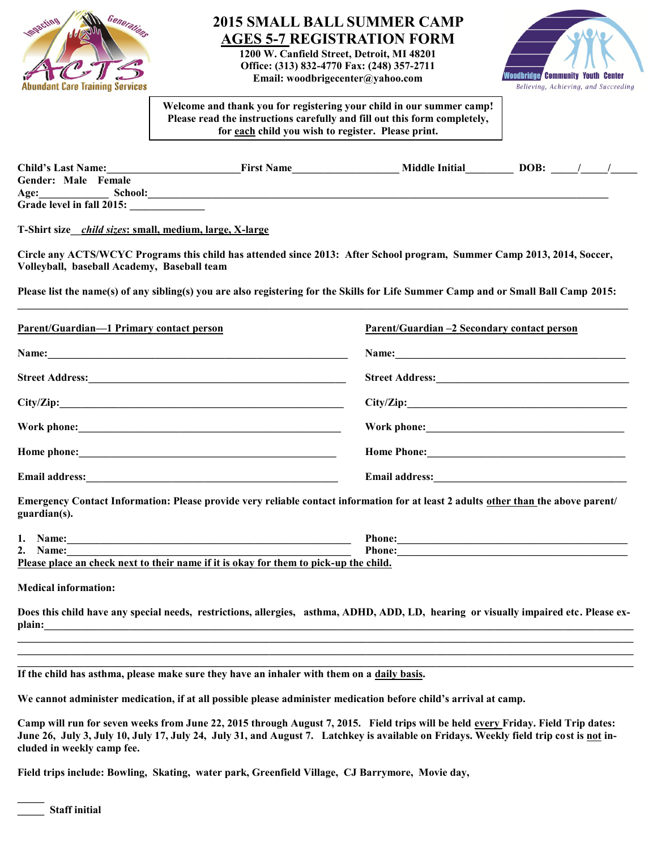

## **2015 SMALL BALL SUMMER CAMP AGES 5-7 REGISTRATION FORM**

**1200 W. Canfield Street, Detroit, MI 48201 Office: (313) 832-4770 Fax: (248) 357-2711 Email: woodbrigecenter@yahoo.com** 



**Welcome and thank you for registering your child in our summer camp! Please read the instructions carefully and fill out this form completely, for each child you wish to register. Please print.**

| <b>Child's Last Name:</b> | <b>First Name</b> | <b>Middle Initial</b> | DOB: |  |
|---------------------------|-------------------|-----------------------|------|--|
| Gender: Male Female       |                   |                       |      |  |
| School:<br>Age:           |                   |                       |      |  |
| Grade level in fall 2015: |                   |                       |      |  |

**T-Shirt size\_\_***child sizes***: small, medium, large, X-large** 

**Circle any ACTS/WCYC Programs this child has attended since 2013: After School program, Summer Camp 2013, 2014, Soccer, Volleyball, baseball Academy, Baseball team**

**Please list the name(s) of any sibling(s) you are also registering for the Skills for Life Summer Camp and or Small Ball Camp 2015:**

| <b>Parent/Guardian-1 Primary contact person</b>                                                                                                                                                                                | Parent/Guardian –2 Secondary contact person                                                                                                                                                                                   |
|--------------------------------------------------------------------------------------------------------------------------------------------------------------------------------------------------------------------------------|-------------------------------------------------------------------------------------------------------------------------------------------------------------------------------------------------------------------------------|
|                                                                                                                                                                                                                                | Name:                                                                                                                                                                                                                         |
| Street Address: No. 1986. The Commission of the Commission of the Commission of the Commission of the Commission of the Commission of the Commission of the Commission of the Commission of the Commission of the Commission o |                                                                                                                                                                                                                               |
|                                                                                                                                                                                                                                | City/Zip:                                                                                                                                                                                                                     |
|                                                                                                                                                                                                                                | Work phone: North Contract of the Contract of the Contract of the Contract of the Contract of the Contract of the Contract of the Contract of the Contract of the Contract of the Contract of the Contract of the Contract of |
|                                                                                                                                                                                                                                | Home Phone:                                                                                                                                                                                                                   |
| <b>Email address:</b>                                                                                                                                                                                                          |                                                                                                                                                                                                                               |

**Emergency Contact Information: Please provide very reliable contact information for at least 2 adults other than the above parent/ guardian(s).**

| ı. | <b>Name:</b>                                                                          | Phone: |  |  |  |  |
|----|---------------------------------------------------------------------------------------|--------|--|--|--|--|
| 2. | Name:                                                                                 | Phone: |  |  |  |  |
|    | Please place an check next to their name if it is okay for them to pick-up the child. |        |  |  |  |  |

**Medical information:**

**Does this child have any special needs, restrictions, allergies, asthma, ADHD, ADD, LD, hearing or visually impaired etc. Please explain:\_\_\_\_\_\_\_\_\_\_\_\_\_\_\_\_\_\_\_\_\_\_\_\_\_\_\_\_\_\_\_\_\_\_\_\_\_\_\_\_\_\_\_\_\_\_\_\_\_\_\_\_\_\_\_\_\_\_\_\_\_\_\_\_\_\_\_\_\_\_\_\_\_\_\_\_\_\_\_\_\_\_\_\_\_\_\_\_\_\_\_\_\_\_\_\_\_\_\_\_\_\_\_\_\_\_\_\_\_\_**

**\_\_\_\_\_\_\_\_\_\_\_\_\_\_\_\_\_\_\_\_\_\_\_\_\_\_\_\_\_\_\_\_\_\_\_\_\_\_\_\_\_\_\_\_\_\_\_\_\_\_\_\_\_\_\_\_\_\_\_\_\_\_\_\_\_\_\_\_\_\_\_\_\_\_\_\_\_\_\_\_\_\_\_\_\_\_\_\_\_\_\_\_\_\_\_\_\_\_\_\_\_\_\_\_\_\_\_\_\_\_\_\_\_\_\_**  $\mathcal{L} = \{ \mathcal{L} \mathcal{L} \mathcal{L} \mathcal{L} \mathcal{L} \mathcal{L} \mathcal{L} \mathcal{L} \mathcal{L} \mathcal{L} \mathcal{L} \mathcal{L} \mathcal{L} \mathcal{L} \mathcal{L} \mathcal{L} \mathcal{L} \mathcal{L} \mathcal{L} \mathcal{L} \mathcal{L} \mathcal{L} \mathcal{L} \mathcal{L} \mathcal{L} \mathcal{L} \mathcal{L} \mathcal{L} \mathcal{L} \mathcal{L} \mathcal{L} \mathcal{L} \mathcal{L} \mathcal{L} \mathcal{L} \$ 

**If the child has asthma, please make sure they have an inhaler with them on a daily basis.** 

**We cannot administer medication, if at all possible please administer medication before child's arrival at camp.**

Camp will run for seven weeks from June 22, 2015 through August 7, 2015. Field trips will be held every Friday. Field Trip dates: **June 26, July 3, July 10, July 17, July 24, July 31, and August 7. Latchkey is available on Fridays. Weekly field trip cost is not included in weekly camp fee.** 

**Field trips include: Bowling, Skating, water park, Greenfield Village, CJ Barrymore, Movie day,** 

**\_\_\_\_\_**